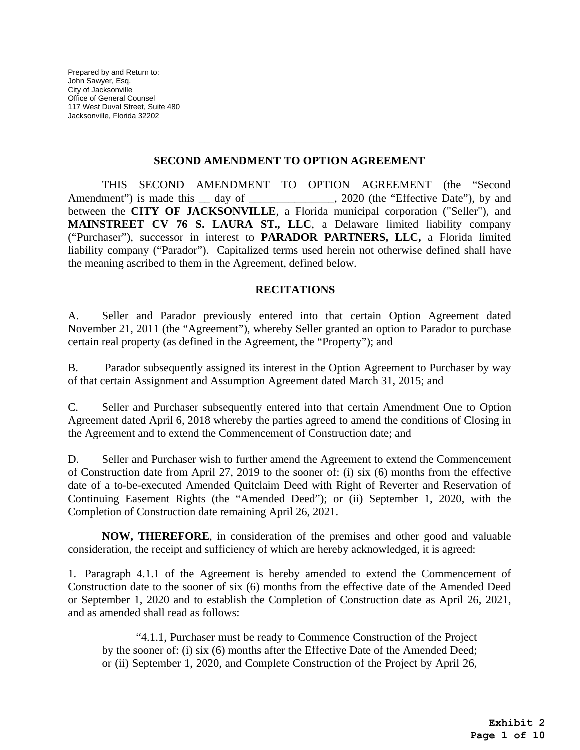#### **SECOND AMENDMENT TO OPTION AGREEMENT**

THIS SECOND AMENDMENT TO OPTION AGREEMENT (the "Second Amendment") is made this \_\_ day of \_\_\_\_\_\_\_\_\_\_\_\_, 2020 (the "Effective Date"), by and between the **CITY OF JACKSONVILLE**, a Florida municipal corporation ("Seller"), and **MAINSTREET CV 76 S. LAURA ST., LLC**, a Delaware limited liability company ("Purchaser"), successor in interest to **PARADOR PARTNERS, LLC,** a Florida limited liability company ("Parador"). Capitalized terms used herein not otherwise defined shall have the meaning ascribed to them in the Agreement, defined below.

### **RECITATIONS**

A. Seller and Parador previously entered into that certain Option Agreement dated November 21, 2011 (the "Agreement"), whereby Seller granted an option to Parador to purchase certain real property (as defined in the Agreement, the "Property"); and

B. Parador subsequently assigned its interest in the Option Agreement to Purchaser by way of that certain Assignment and Assumption Agreement dated March 31, 2015; and

C. Seller and Purchaser subsequently entered into that certain Amendment One to Option Agreement dated April 6, 2018 whereby the parties agreed to amend the conditions of Closing in the Agreement and to extend the Commencement of Construction date; and

D. Seller and Purchaser wish to further amend the Agreement to extend the Commencement of Construction date from April 27, 2019 to the sooner of: (i) six (6) months from the effective date of a to-be-executed Amended Quitclaim Deed with Right of Reverter and Reservation of Continuing Easement Rights (the "Amended Deed"); or (ii) September 1, 2020, with the Completion of Construction date remaining April 26, 2021.

**NOW, THEREFORE**, in consideration of the premises and other good and valuable consideration, the receipt and sufficiency of which are hereby acknowledged, it is agreed:

1. Paragraph 4.1.1 of the Agreement is hereby amended to extend the Commencement of Construction date to the sooner of six (6) months from the effective date of the Amended Deed or September 1, 2020 and to establish the Completion of Construction date as April 26, 2021, and as amended shall read as follows:

"4.1.1, Purchaser must be ready to Commence Construction of the Project by the sooner of: (i) six (6) months after the Effective Date of the Amended Deed; or (ii) September 1, 2020, and Complete Construction of the Project by April 26,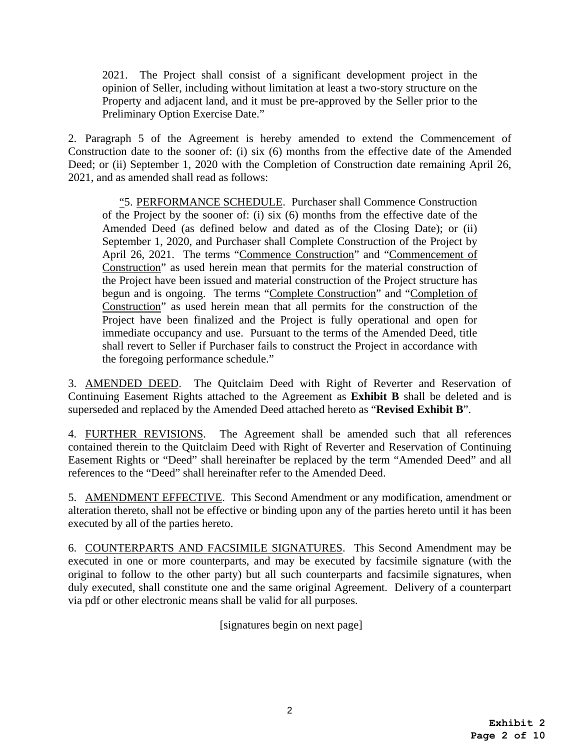2021. The Project shall consist of a significant development project in the opinion of Seller, including without limitation at least a two-story structure on the Property and adjacent land, and it must be pre-approved by the Seller prior to the Preliminary Option Exercise Date."

2. Paragraph 5 of the Agreement is hereby amended to extend the Commencement of Construction date to the sooner of: (i) six (6) months from the effective date of the Amended Deed; or (ii) September 1, 2020 with the Completion of Construction date remaining April 26, 2021, and as amended shall read as follows:

"5. PERFORMANCE SCHEDULE. Purchaser shall Commence Construction of the Project by the sooner of: (i) six (6) months from the effective date of the Amended Deed (as defined below and dated as of the Closing Date); or (ii) September 1, 2020, and Purchaser shall Complete Construction of the Project by April 26, 2021. The terms "Commence Construction" and "Commencement of Construction" as used herein mean that permits for the material construction of the Project have been issued and material construction of the Project structure has begun and is ongoing. The terms "Complete Construction" and "Completion of Construction" as used herein mean that all permits for the construction of the Project have been finalized and the Project is fully operational and open for immediate occupancy and use. Pursuant to the terms of the Amended Deed, title shall revert to Seller if Purchaser fails to construct the Project in accordance with the foregoing performance schedule."

3. AMENDED DEED. The Quitclaim Deed with Right of Reverter and Reservation of Continuing Easement Rights attached to the Agreement as **Exhibit B** shall be deleted and is superseded and replaced by the Amended Deed attached hereto as "**Revised Exhibit B**".

4. FURTHER REVISIONS. The Agreement shall be amended such that all references contained therein to the Quitclaim Deed with Right of Reverter and Reservation of Continuing Easement Rights or "Deed" shall hereinafter be replaced by the term "Amended Deed" and all references to the "Deed" shall hereinafter refer to the Amended Deed.

5. AMENDMENT EFFECTIVE. This Second Amendment or any modification, amendment or alteration thereto, shall not be effective or binding upon any of the parties hereto until it has been executed by all of the parties hereto.

6. COUNTERPARTS AND FACSIMILE SIGNATURES. This Second Amendment may be executed in one or more counterparts, and may be executed by facsimile signature (with the original to follow to the other party) but all such counterparts and facsimile signatures, when duly executed, shall constitute one and the same original Agreement. Delivery of a counterpart via pdf or other electronic means shall be valid for all purposes.

[signatures begin on next page]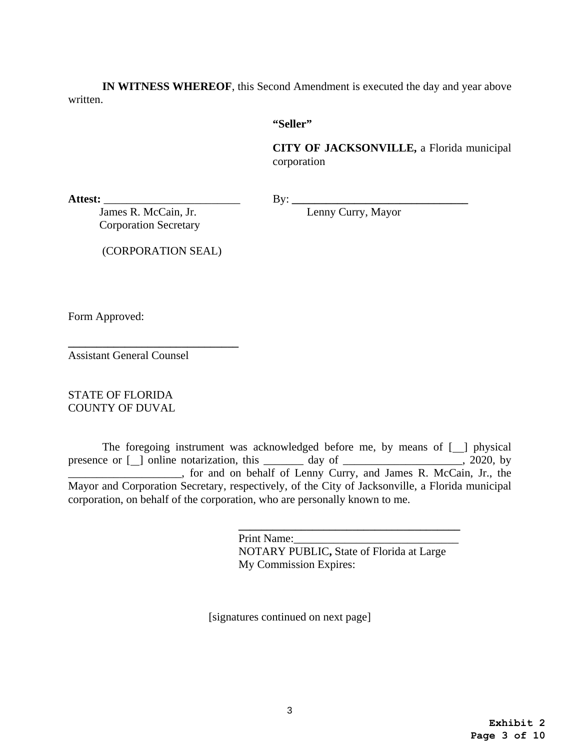**IN WITNESS WHEREOF**, this Second Amendment is executed the day and year above written.

### **"Seller"**

**CITY OF JACKSONVILLE,** a Florida municipal corporation

Attest: <u>James R. McCain, Jr.</u> By: <u>Lenny Curry, Mayor</u> James R. McCain, Jr. Corporation Secretary

**\_\_\_\_\_\_\_\_\_\_\_\_\_\_\_\_\_\_\_\_\_\_\_\_\_\_\_\_\_\_** 

(CORPORATION SEAL)

Form Approved:

Assistant General Counsel

STATE OF FLORIDA COUNTY OF DUVAL

The foregoing instrument was acknowledged before me, by means of  $[\ ]$  physical presence or [ ] online notarization, this \_\_\_\_\_\_\_ day of \_\_\_\_\_\_\_\_\_\_\_\_\_\_\_\_\_\_\_\_\_, 2020, by \_\_\_\_\_\_\_\_\_\_\_\_\_\_\_\_\_\_\_\_, for and on behalf of Lenny Curry, and James R. McCain, Jr., the Mayor and Corporation Secretary, respectively, of the City of Jacksonville, a Florida municipal corporation, on behalf of the corporation, who are personally known to me.

> **\_\_\_\_\_\_\_\_\_\_\_\_\_\_\_\_\_\_\_\_\_\_\_\_\_\_\_\_\_\_\_\_\_\_\_\_\_\_\_**  Print Name: NOTARY PUBLIC**,** State of Florida at Large My Commission Expires:

[signatures continued on next page]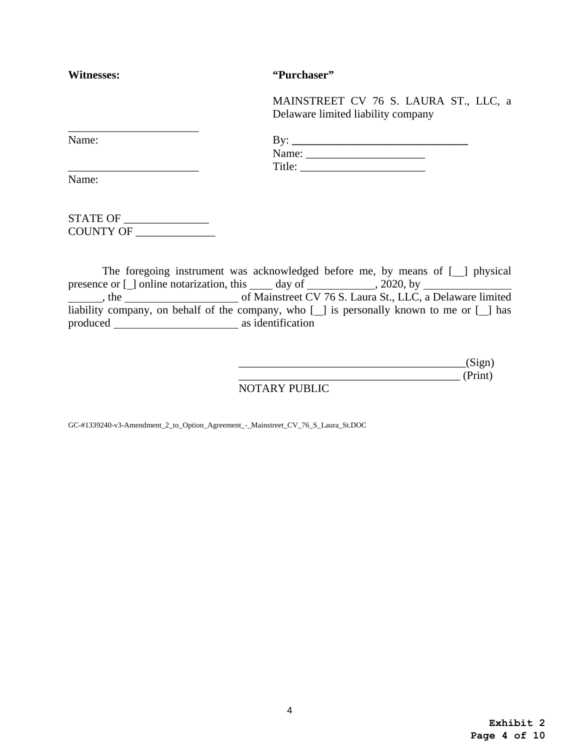| Witnesses: | "Purchaser"                                                                   |
|------------|-------------------------------------------------------------------------------|
|            | MAINSTREET CV 76 S. LAURA ST., LLC, a<br>Delaware limited liability company   |
| Name:      |                                                                               |
|            |                                                                               |
|            |                                                                               |
| Name:      |                                                                               |
|            |                                                                               |
| COUNTY OF  |                                                                               |
|            |                                                                               |
|            | The foregoing instrument was acknowledged before me, by means of [ ] physical |

l  $\overline{a}$  produced as identification presence or  $\Box$  online notarization, this  $\Box$  day of  $\Box$ , 2020, by , the subsequent CV 76 S. Laura St., LLC, a Delaware limited liability company, on behalf of the company, who  $[\ ]$  is personally known to me or  $[\ ]$  has

|               | (Print) |
|---------------|---------|
| NOTARY PUBLIC |         |

GC-#1339240-v3-Amendment\_2\_to\_Option\_Agreement\_-\_Mainstreet\_CV\_76\_S\_Laura\_St.DOC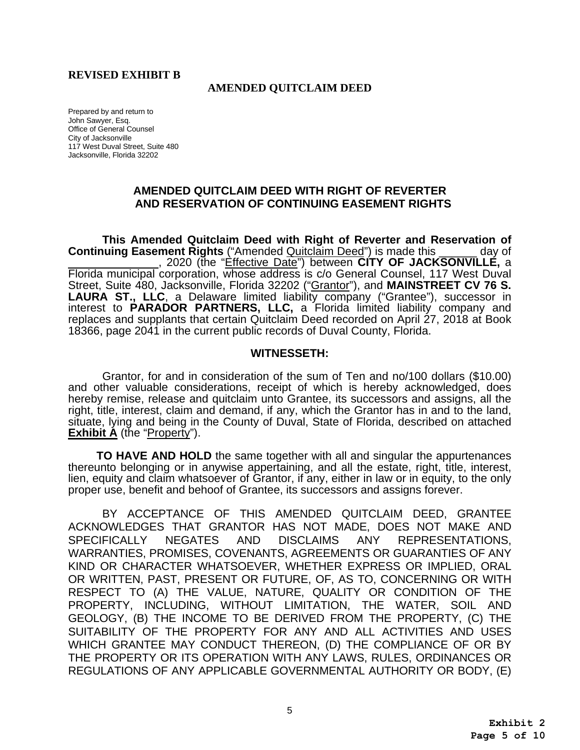### **REVISED EXHIBIT B**

#### **AMENDED QUITCLAIM DEED**

 Office of General Counsel Prepared by and return to John Sawyer, Esq. City of Jacksonville 117 West Duval Street, Suite 480 Jacksonville, Florida 32202

## **AMENDED QUITCLAIM DEED WITH RIGHT OF REVERTER AND RESERVATION OF CONTINUING EASEMENT RIGHTS**

day of **This Amended Quitclaim Deed with Right of Reverter and Reservation of Continuing Easement Rights** ("Amended Quitclaim Deed") is made this , 2020 (the "Effective Date") between **CITY OF JACKSONVILLE,** a Florida municipal corporation, whose address is c/o General Counsel, 117 West Duval Street, Suite 480, Jacksonville, Florida 32202 ("Grantor"), and **MAINSTREET CV 76 S.**  LAURA ST., LLC, a Delaware limited liability company ("Grantee"), successor in interest to **PARADOR PARTNERS, LLC,** a Florida limited liability company and replaces and supplants that certain Quitclaim Deed recorded on April 27, 2018 at Book 18366, page 2041 in the current public records of Duval County, Florida.

### **WITNESSETH:**

Grantor, for and in consideration of the sum of Ten and no/100 dollars (\$10.00) and other valuable considerations, receipt of which is hereby acknowledged, does hereby remise, release and quitclaim unto Grantee, its successors and assigns, all the right, title, interest, claim and demand, if any, which the Grantor has in and to the land, situate, lying and being in the County of Duval, State of Florida, described on attached **Exhibit A** (the "Property").

**TO HAVE AND HOLD** the same together with all and singular the appurtenances thereunto belonging or in anywise appertaining, and all the estate, right, title, interest, lien, equity and claim whatsoever of Grantor, if any, either in law or in equity, to the only proper use, benefit and behoof of Grantee, its successors and assigns forever.

BY ACCEPTANCE OF THIS AMENDED QUITCLAIM DEED, GRANTEE ACKNOWLEDGES THAT GRANTOR HAS NOT MADE, DOES NOT MAKE AND SPECIFICALLY NEGATES AND DISCLAIMS ANY REPRESENTATIONS, WARRANTIES, PROMISES, COVENANTS, AGREEMENTS OR GUARANTIES OF ANY KIND OR CHARACTER WHATSOEVER, WHETHER EXPRESS OR IMPLIED, ORAL OR WRITTEN, PAST, PRESENT OR FUTURE, OF, AS TO, CONCERNING OR WITH RESPECT TO (A) THE VALUE, NATURE, QUALITY OR CONDITION OF THE PROPERTY, INCLUDING, WITHOUT LIMITATION, THE WATER, SOIL AND GEOLOGY, (B) THE INCOME TO BE DERIVED FROM THE PROPERTY, (C) THE SUITABILITY OF THE PROPERTY FOR ANY AND ALL ACTIVITIES AND USES WHICH GRANTEE MAY CONDUCT THEREON, (D) THE COMPLIANCE OF OR BY THE PROPERTY OR ITS OPERATION WITH ANY LAWS, RULES, ORDINANCES OR REGULATIONS OF ANY APPLICABLE GOVERNMENTAL AUTHORITY OR BODY, (E)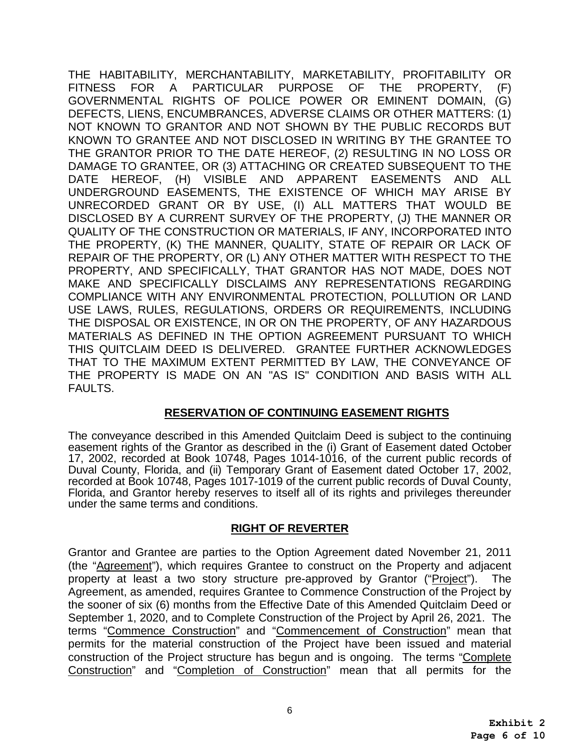DISCLOSED BY A CURRENT SURVEY OF THE PROPERTY, (J) THE MANNER OR THE HABITABILITY, MERCHANTABILITY, MARKETABILITY, PROFITABILITY OR FITNESS FOR A PARTICULAR PURPOSE OF THE PROPERTY, (F) GOVERNMENTAL RIGHTS OF POLICE POWER OR EMINENT DOMAIN, (G) DEFECTS, LIENS, ENCUMBRANCES, ADVERSE CLAIMS OR OTHER MATTERS: (1) NOT KNOWN TO GRANTOR AND NOT SHOWN BY THE PUBLIC RECORDS BUT KNOWN TO GRANTEE AND NOT DISCLOSED IN WRITING BY THE GRANTEE TO THE GRANTOR PRIOR TO THE DATE HEREOF, (2) RESULTING IN NO LOSS OR DAMAGE TO GRANTEE, OR (3) ATTACHING OR CREATED SUBSEQUENT TO THE DATE HEREOF, (H) VISIBLE AND APPARENT EASEMENTS AND ALL UNDERGROUND EASEMENTS, THE EXISTENCE OF WHICH MAY ARISE BY UNRECORDED GRANT OR BY USE, (I) ALL MATTERS THAT WOULD BE QUALITY OF THE CONSTRUCTION OR MATERIALS, IF ANY, INCORPORATED INTO THE PROPERTY, (K) THE MANNER, QUALITY, STATE OF REPAIR OR LACK OF REPAIR OF THE PROPERTY, OR (L) ANY OTHER MATTER WITH RESPECT TO THE PROPERTY, AND SPECIFICALLY, THAT GRANTOR HAS NOT MADE, DOES NOT MAKE AND SPECIFICALLY DISCLAIMS ANY REPRESENTATIONS REGARDING COMPLIANCE WITH ANY ENVIRONMENTAL PROTECTION, POLLUTION OR LAND USE LAWS, RULES, REGULATIONS, ORDERS OR REQUIREMENTS, INCLUDING THE DISPOSAL OR EXISTENCE, IN OR ON THE PROPERTY, OF ANY HAZARDOUS MATERIALS AS DEFINED IN THE OPTION AGREEMENT PURSUANT TO WHICH THIS QUITCLAIM DEED IS DELIVERED. GRANTEE FURTHER ACKNOWLEDGES THAT TO THE MAXIMUM EXTENT PERMITTED BY LAW, THE CONVEYANCE OF THE PROPERTY IS MADE ON AN "AS IS" CONDITION AND BASIS WITH ALL FAULTS.

# **RESERVATION OF CONTINUING EASEMENT RIGHTS**

 under the same terms and conditions. The conveyance described in this Amended Quitclaim Deed is subject to the continuing easement rights of the Grantor as described in the (i) Grant of Easement dated October 17, 2002, recorded at Book 10748, Pages 1014-1016, of the current public records of Duval County, Florida, and (ii) Temporary Grant of Easement dated October 17, 2002, recorded at Book 10748, Pages 1017-1019 of the current public records of Duval County, Florida, and Grantor hereby reserves to itself all of its rights and privileges thereunder

# **RIGHT OF REVERTER**

Grantor and Grantee are parties to the Option Agreement dated November 21, 2011 (the "Agreement"), which requires Grantee to construct on the Property and adjacent property at least a two story structure pre-approved by Grantor ("Project"). The Agreement, as amended, requires Grantee to Commence Construction of the Project by the sooner of six (6) months from the Effective Date of this Amended Quitclaim Deed or September 1, 2020, and to Complete Construction of the Project by April 26, 2021. The terms "Commence Construction" and "Commencement of Construction" mean that permits for the material construction of the Project have been issued and material construction of the Project structure has begun and is ongoing. The terms "Complete Construction" and "Completion of Construction" mean that all permits for the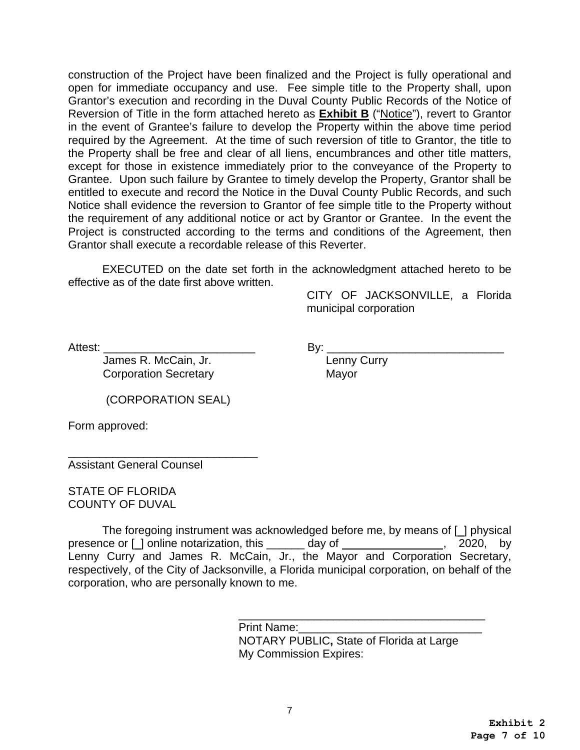construction of the Project have been finalized and the Project is fully operational and open for immediate occupancy and use. Fee simple title to the Property shall, upon Grantor's execution and recording in the Duval County Public Records of the Notice of Reversion of Title in the form attached hereto as **Exhibit B** ("Notice"), revert to Grantor in the event of Grantee's failure to develop the Property within the above time period required by the Agreement. At the time of such reversion of title to Grantor, the title to the Property shall be free and clear of all liens, encumbrances and other title matters, except for those in existence immediately prior to the conveyance of the Property to Grantee. Upon such failure by Grantee to timely develop the Property, Grantor shall be entitled to execute and record the Notice in the Duval County Public Records, and such Notice shall evidence the reversion to Grantor of fee simple title to the Property without the requirement of any additional notice or act by Grantor or Grantee. In the event the Project is constructed according to the terms and conditions of the Agreement, then Grantor shall execute a recordable release of this Reverter.

EXECUTED on the date set forth in the acknowledgment attached hereto to be effective as of the date first above written.

> CITY OF JACKSONVILLE, a Florida municipal corporation

Attest: \_\_\_\_\_\_\_\_\_\_\_\_\_\_\_\_\_\_\_\_\_\_\_\_ By: \_\_\_\_\_\_\_\_\_\_\_\_\_\_\_\_\_\_\_\_\_\_\_\_\_\_\_\_ James R. McCain, Jr. Corporation Secretary **Mayor** 

(CORPORATION SEAL)

Form approved:

\_\_\_\_\_\_\_\_\_\_\_\_\_\_\_\_\_\_\_\_\_\_\_\_\_\_\_\_\_\_ Assistant General Counsel

STATE OF FLORIDA COUNTY OF DUVAL

presence or [1] online notarization, this 100 million day of 100 million matrix and presence or [1] online notarization, this 2020, and by The foregoing instrument was acknowledged before me, by means of [ ] physical Lenny Curry and James R. McCain, Jr., the Mayor and Corporation Secretary, respectively, of the City of Jacksonville, a Florida municipal corporation, on behalf of the corporation, who are personally known to me.

\_\_\_\_\_\_\_\_\_\_\_\_\_\_\_\_\_\_\_\_\_\_\_\_\_\_\_\_\_\_\_\_\_\_\_\_\_\_\_

Print Name: NOTARY PUBLIC**,** State of Florida at Large My Commission Expires: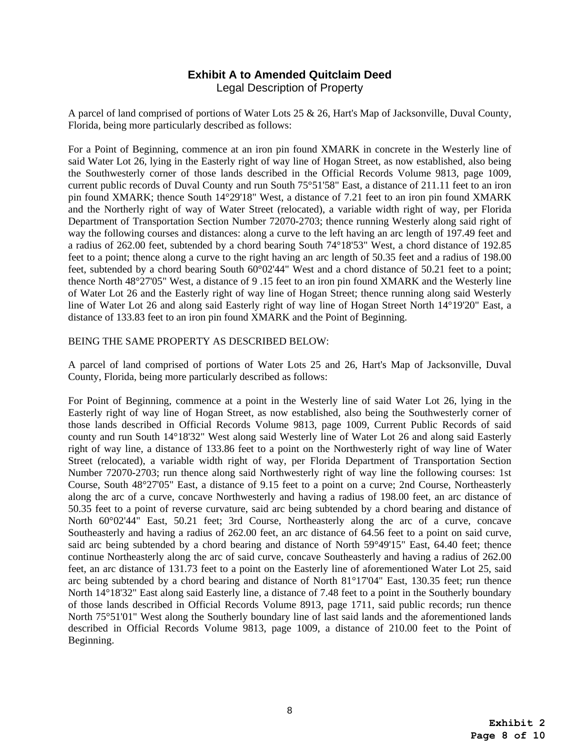## **Exhibit A to Amended Quitclaim Deed**  Legal Description of Property

A parcel of land comprised of portions of Water Lots 25 & 26, Hart's Map of Jacksonville, Duval County, Florida, being more particularly described as follows:

For a Point of Beginning, commence at an iron pin found XMARK in concrete in the Westerly line of said Water Lot 26, lying in the Easterly right of way line of Hogan Street, as now established, also being the Southwesterly corner of those lands described in the Official Records Volume 9813, page 1009, current public records of Duval County and run South 75°51'58" East, a distance of 211.11 feet to an iron pin found XMARK; thence South 14°29'18" West, a distance of 7.21 feet to an iron pin found XMARK and the Northerly right of way of Water Street (relocated), a variable width right of way, per Florida Department of Transportation Section Number 72070-2703; thence running Westerly along said right of way the following courses and distances: along a curve to the left having an arc length of 197.49 feet and a radius of 262.00 feet, subtended by a chord bearing South 74°18'53" West, a chord distance of 192.85 feet to a point; thence along a curve to the right having an arc length of 50.35 feet and a radius of 198.00 feet, subtended by a chord bearing South 60°02'44" West and a chord distance of 50.21 feet to a point; thence North 48°27'05" West, a distance of 9 .15 feet to an iron pin found XMARK and the Westerly line of Water Lot 26 and the Easterly right of way line of Hogan Street; thence running along said Westerly line of Water Lot 26 and along said Easterly right of way line of Hogan Street North 14°19'20" East, a distance of 133.83 feet to an iron pin found XMARK and the Point of Beginning.

#### BEING THE SAME PROPERTY AS DESCRIBED BELOW:

A parcel of land comprised of portions of Water Lots 25 and 26, Hart's Map of Jacksonville, Duval County, Florida, being more particularly described as follows:

 North 14°18'32" East along said Easterly line, a distance of 7.48 feet to a point in the Southerly boundary For Point of Beginning, commence at a point in the Westerly line of said Water Lot 26, lying in the Easterly right of way line of Hogan Street, as now established, also being the Southwesterly corner of those lands described in Official Records Volume 9813, page 1009, Current Public Records of said county and run South 14°18'32" West along said Westerly line of Water Lot 26 and along said Easterly right of way line, a distance of 133.86 feet to a point on the Northwesterly right of way line of Water Street (relocated), a variable width right of way, per Florida Department of Transportation Section Number 72070-2703; run thence along said Northwesterly right of way line the following courses: 1st Course, South 48°27'05" East, a distance of 9.15 feet to a point on a curve; 2nd Course, Northeasterly along the arc of a curve, concave Northwesterly and having a radius of 198.00 feet, an arc distance of 50.35 feet to a point of reverse curvature, said arc being subtended by a chord bearing and distance of North 60°02'44" East, 50.21 feet; 3rd Course, Northeasterly along the arc of a curve, concave Southeasterly and having a radius of 262.00 feet, an arc distance of 64.56 feet to a point on said curve, said arc being subtended by a chord bearing and distance of North 59°49'15" East, 64.40 feet; thence continue Northeasterly along the arc of said curve, concave Southeasterly and having a radius of 262.00 feet, an arc distance of 131.73 feet to a point on the Easterly line of aforementioned Water Lot 25, said arc being subtended by a chord bearing and distance of North 81°17'04" East, 130.35 feet; run thence of those lands described in Official Records Volume 8913, page 1711, said public records; run thence North 75°51'01" West along the Southerly boundary line of last said lands and the aforementioned lands described in Official Records Volume 9813, page 1009, a distance of 210.00 feet to the Point of Beginning.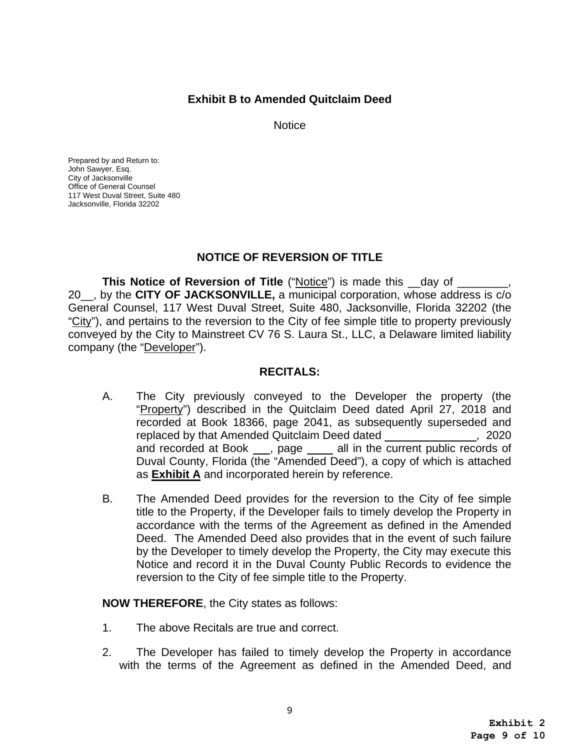# **Exhibit B to Amended Quitclaim Deed**

**Notice** 

Prepared by and Return to: John Sawyer, Esq. City of Jacksonville Office of General Counsel 117 West Duval Street, Suite 480 Jacksonville, Florida 32202

# **NOTICE OF REVERSION OF TITLE**

**This Notice of Reversion of Title ("Notice") is made this \_\_day of \_\_\_\_\_\_\_\_\_\_\_\_** 20\_\_, by the **CITY OF JACKSONVILLE,** a municipal corporation, whose address is c/o General Counsel, 117 West Duval Street, Suite 480, Jacksonville, Florida 32202 (the "City"), and pertains to the reversion to the City of fee simple title to property previously conveyed by the City to Mainstreet CV 76 S. Laura St., LLC, a Delaware limited liability company (the "Developer").

## **RECITALS:**

- $\overline{a}$ A. The City previously conveyed to the Developer the property (the "Property") described in the Quitclaim Deed dated April 27, 2018 and recorded at Book 18366, page 2041, as subsequently superseded and replaced by that Amended Quitclaim Deed dated , 2020 and recorded at Book, page all in the current public records of Duval County, Florida (the "Amended Deed"), a copy of which is attached as **Exhibit A** and incorporated herein by reference.
- B. The Amended Deed provides for the reversion to the City of fee simple title to the Property, if the Developer fails to timely develop the Property in accordance with the terms of the Agreement as defined in the Amended Deed. The Amended Deed also provides that in the event of such failure by the Developer to timely develop the Property, the City may execute this Notice and record it in the Duval County Public Records to evidence the reversion to the City of fee simple title to the Property.

**NOW THEREFORE**, the City states as follows:

- 1. The above Recitals are true and correct.
- 2. The Developer has failed to timely develop the Property in accordance with the terms of the Agreement as defined in the Amended Deed, and